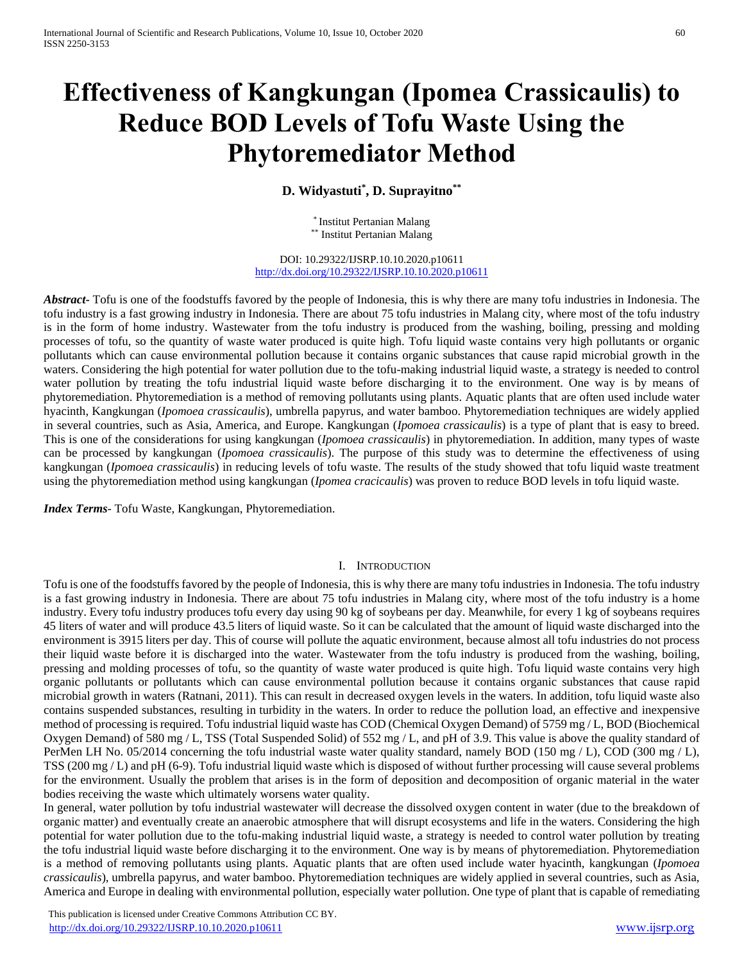# **Effectiveness of Kangkungan (Ipomea Crassicaulis) to Reduce BOD Levels of Tofu Waste Using the Phytoremediator Method**

**D. Widyastuti\* , D. Suprayitno\*\***

\* Institut Pertanian Malang \*\* Institut Pertanian Malang

DOI: 10.29322/IJSRP.10.10.2020.p10611 <http://dx.doi.org/10.29322/IJSRP.10.10.2020.p10611>

*Abstract***-** Tofu is one of the foodstuffs favored by the people of Indonesia, this is why there are many tofu industries in Indonesia. The tofu industry is a fast growing industry in Indonesia. There are about 75 tofu industries in Malang city, where most of the tofu industry is in the form of home industry. Wastewater from the tofu industry is produced from the washing, boiling, pressing and molding processes of tofu, so the quantity of waste water produced is quite high. Tofu liquid waste contains very high pollutants or organic pollutants which can cause environmental pollution because it contains organic substances that cause rapid microbial growth in the waters. Considering the high potential for water pollution due to the tofu-making industrial liquid waste, a strategy is needed to control water pollution by treating the tofu industrial liquid waste before discharging it to the environment. One way is by means of phytoremediation. Phytoremediation is a method of removing pollutants using plants. Aquatic plants that are often used include water hyacinth, Kangkungan (*Ipomoea crassicaulis*), umbrella papyrus, and water bamboo. Phytoremediation techniques are widely applied in several countries, such as Asia, America, and Europe. Kangkungan (*Ipomoea crassicaulis*) is a type of plant that is easy to breed. This is one of the considerations for using kangkungan (*Ipomoea crassicaulis*) in phytoremediation. In addition, many types of waste can be processed by kangkungan (*Ipomoea crassicaulis*). The purpose of this study was to determine the effectiveness of using kangkungan (*Ipomoea crassicaulis*) in reducing levels of tofu waste. The results of the study showed that tofu liquid waste treatment using the phytoremediation method using kangkungan (*Ipomea cracicaulis*) was proven to reduce BOD levels in tofu liquid waste.

*Index Terms*- Tofu Waste, Kangkungan, Phytoremediation.

### I. INTRODUCTION

Tofu is one of the foodstuffs favored by the people of Indonesia, this is why there are many tofu industries in Indonesia. The tofu industry is a fast growing industry in Indonesia. There are about 75 tofu industries in Malang city, where most of the tofu industry is a home industry. Every tofu industry produces tofu every day using 90 kg of soybeans per day. Meanwhile, for every 1 kg of soybeans requires 45 liters of water and will produce 43.5 liters of liquid waste. So it can be calculated that the amount of liquid waste discharged into the environment is 3915 liters per day. This of course will pollute the aquatic environment, because almost all tofu industries do not process their liquid waste before it is discharged into the water. Wastewater from the tofu industry is produced from the washing, boiling, pressing and molding processes of tofu, so the quantity of waste water produced is quite high. Tofu liquid waste contains very high organic pollutants or pollutants which can cause environmental pollution because it contains organic substances that cause rapid microbial growth in waters (Ratnani, 2011). This can result in decreased oxygen levels in the waters. In addition, tofu liquid waste also contains suspended substances, resulting in turbidity in the waters. In order to reduce the pollution load, an effective and inexpensive method of processing is required. Tofu industrial liquid waste has COD (Chemical Oxygen Demand) of 5759 mg / L, BOD (Biochemical Oxygen Demand) of 580 mg / L, TSS (Total Suspended Solid) of 552 mg / L, and pH of 3.9. This value is above the quality standard of PerMen LH No. 05/2014 concerning the tofu industrial waste water quality standard, namely BOD (150 mg / L), COD (300 mg / L), TSS (200 mg / L) and pH (6-9). Tofu industrial liquid waste which is disposed of without further processing will cause several problems for the environment. Usually the problem that arises is in the form of deposition and decomposition of organic material in the water bodies receiving the waste which ultimately worsens water quality.

In general, water pollution by tofu industrial wastewater will decrease the dissolved oxygen content in water (due to the breakdown of organic matter) and eventually create an anaerobic atmosphere that will disrupt ecosystems and life in the waters. Considering the high potential for water pollution due to the tofu-making industrial liquid waste, a strategy is needed to control water pollution by treating the tofu industrial liquid waste before discharging it to the environment. One way is by means of phytoremediation. Phytoremediation is a method of removing pollutants using plants. Aquatic plants that are often used include water hyacinth, kangkungan (*Ipomoea crassicaulis*), umbrella papyrus, and water bamboo. Phytoremediation techniques are widely applied in several countries, such as Asia, America and Europe in dealing with environmental pollution, especially water pollution. One type of plant that is capable of remediating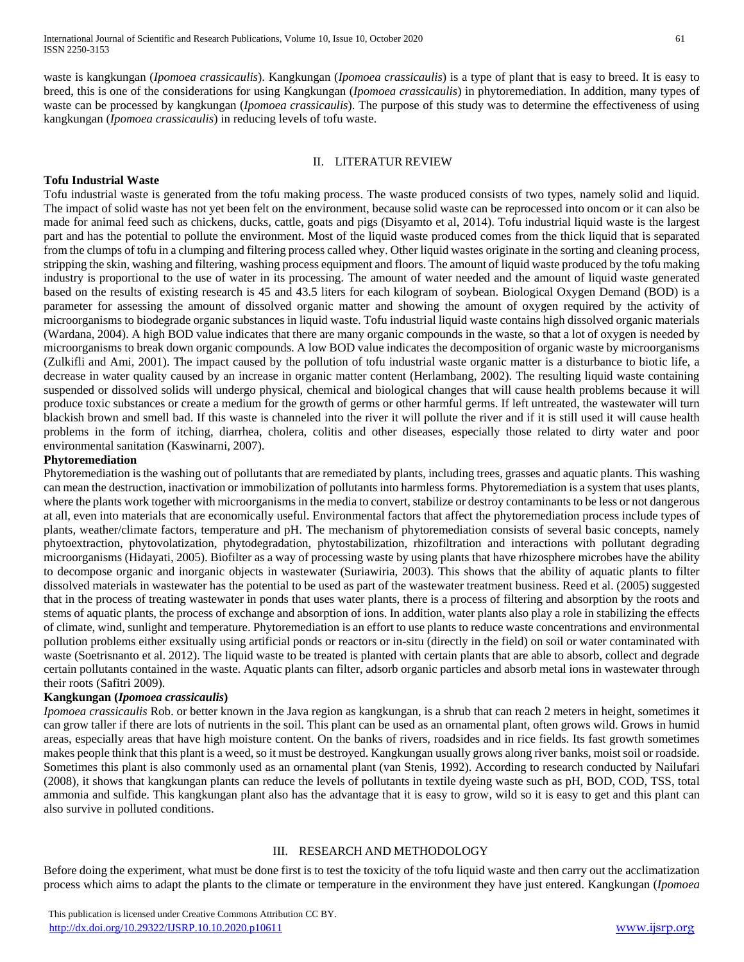waste is kangkungan (*Ipomoea crassicaulis*). Kangkungan (*Ipomoea crassicaulis*) is a type of plant that is easy to breed. It is easy to breed, this is one of the considerations for using Kangkungan (*Ipomoea crassicaulis*) in phytoremediation. In addition, many types of waste can be processed by kangkungan (*Ipomoea crassicaulis*). The purpose of this study was to determine the effectiveness of using kangkungan (*Ipomoea crassicaulis*) in reducing levels of tofu waste.

## II. LITERATUR REVIEW

# **Tofu Industrial Waste**

Tofu industrial waste is generated from the tofu making process. The waste produced consists of two types, namely solid and liquid. The impact of solid waste has not yet been felt on the environment, because solid waste can be reprocessed into oncom or it can also be made for animal feed such as chickens, ducks, cattle, goats and pigs (Disyamto et al, 2014). Tofu industrial liquid waste is the largest part and has the potential to pollute the environment. Most of the liquid waste produced comes from the thick liquid that is separated from the clumps of tofu in a clumping and filtering process called whey. Other liquid wastes originate in the sorting and cleaning process, stripping the skin, washing and filtering, washing process equipment and floors. The amount of liquid waste produced by the tofu making industry is proportional to the use of water in its processing. The amount of water needed and the amount of liquid waste generated based on the results of existing research is 45 and 43.5 liters for each kilogram of soybean. Biological Oxygen Demand (BOD) is a parameter for assessing the amount of dissolved organic matter and showing the amount of oxygen required by the activity of microorganisms to biodegrade organic substances in liquid waste. Tofu industrial liquid waste contains high dissolved organic materials (Wardana, 2004). A high BOD value indicates that there are many organic compounds in the waste, so that a lot of oxygen is needed by microorganisms to break down organic compounds. A low BOD value indicates the decomposition of organic waste by microorganisms (Zulkifli and Ami, 2001). The impact caused by the pollution of tofu industrial waste organic matter is a disturbance to biotic life, a decrease in water quality caused by an increase in organic matter content (Herlambang, 2002). The resulting liquid waste containing suspended or dissolved solids will undergo physical, chemical and biological changes that will cause health problems because it will produce toxic substances or create a medium for the growth of germs or other harmful germs. If left untreated, the wastewater will turn blackish brown and smell bad. If this waste is channeled into the river it will pollute the river and if it is still used it will cause health problems in the form of itching, diarrhea, cholera, colitis and other diseases, especially those related to dirty water and poor environmental sanitation (Kaswinarni, 2007).

## **Phytoremediation**

Phytoremediation is the washing out of pollutants that are remediated by plants, including trees, grasses and aquatic plants. This washing can mean the destruction, inactivation or immobilization of pollutants into harmless forms. Phytoremediation is a system that uses plants, where the plants work together with microorganisms in the media to convert, stabilize or destroy contaminants to be less or not dangerous at all, even into materials that are economically useful. Environmental factors that affect the phytoremediation process include types of plants, weather/climate factors, temperature and pH. The mechanism of phytoremediation consists of several basic concepts, namely phytoextraction, phytovolatization, phytodegradation, phytostabilization, rhizofiltration and interactions with pollutant degrading microorganisms (Hidayati, 2005). Biofilter as a way of processing waste by using plants that have rhizosphere microbes have the ability to decompose organic and inorganic objects in wastewater (Suriawiria, 2003). This shows that the ability of aquatic plants to filter dissolved materials in wastewater has the potential to be used as part of the wastewater treatment business. Reed et al. (2005) suggested that in the process of treating wastewater in ponds that uses water plants, there is a process of filtering and absorption by the roots and stems of aquatic plants, the process of exchange and absorption of ions. In addition, water plants also play a role in stabilizing the effects of climate, wind, sunlight and temperature. Phytoremediation is an effort to use plants to reduce waste concentrations and environmental pollution problems either exsitually using artificial ponds or reactors or in-situ (directly in the field) on soil or water contaminated with waste (Soetrisnanto et al. 2012). The liquid waste to be treated is planted with certain plants that are able to absorb, collect and degrade certain pollutants contained in the waste. Aquatic plants can filter, adsorb organic particles and absorb metal ions in wastewater through their roots (Safitri 2009).

# **Kangkungan (***Ipomoea crassicaulis***)**

*Ipomoea crassicaulis* Rob. or better known in the Java region as kangkungan, is a shrub that can reach 2 meters in height, sometimes it can grow taller if there are lots of nutrients in the soil. This plant can be used as an ornamental plant, often grows wild. Grows in humid areas, especially areas that have high moisture content. On the banks of rivers, roadsides and in rice fields. Its fast growth sometimes makes people think that this plant is a weed, so it must be destroyed. Kangkungan usually grows along river banks, moist soil or roadside. Sometimes this plant is also commonly used as an ornamental plant (van Stenis, 1992). According to research conducted by Nailufari (2008), it shows that kangkungan plants can reduce the levels of pollutants in textile dyeing waste such as pH, BOD, COD, TSS, total ammonia and sulfide. This kangkungan plant also has the advantage that it is easy to grow, wild so it is easy to get and this plant can also survive in polluted conditions.

# III. RESEARCH AND METHODOLOGY

Before doing the experiment, what must be done first is to test the toxicity of the tofu liquid waste and then carry out the acclimatization process which aims to adapt the plants to the climate or temperature in the environment they have just entered. Kangkungan (*Ipomoea*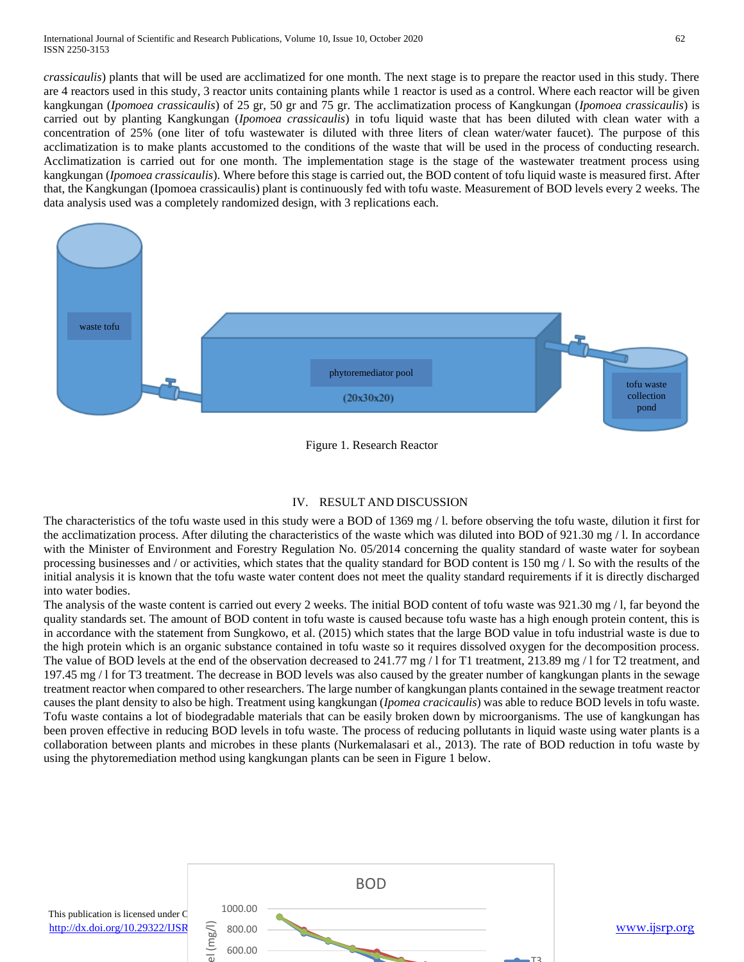*crassicaulis*) plants that will be used are acclimatized for one month. The next stage is to prepare the reactor used in this study. There are 4 reactors used in this study, 3 reactor units containing plants while 1 reactor is used as a control. Where each reactor will be given kangkungan (*Ipomoea crassicaulis*) of 25 gr, 50 gr and 75 gr. The acclimatization process of Kangkungan (*Ipomoea crassicaulis*) is carried out by planting Kangkungan (*Ipomoea crassicaulis*) in tofu liquid waste that has been diluted with clean water with a concentration of 25% (one liter of tofu wastewater is diluted with three liters of clean water/water faucet). The purpose of this acclimatization is to make plants accustomed to the conditions of the waste that will be used in the process of conducting research. Acclimatization is carried out for one month. The implementation stage is the stage of the wastewater treatment process using kangkungan (*Ipomoea crassicaulis*). Where before this stage is carried out, the BOD content of tofu liquid waste is measured first. After that, the Kangkungan (Ipomoea crassicaulis) plant is continuously fed with tofu waste. Measurement of BOD levels every 2 weeks. The data analysis used was a completely randomized design, with 3 replications each.



Figure 1. Research Reactor

### IV. RESULT AND DISCUSSION

The characteristics of the tofu waste used in this study were a BOD of 1369 mg / l. before observing the tofu waste, dilution it first for the acclimatization process. After diluting the characteristics of the waste which was diluted into BOD of 921.30 mg / l. In accordance with the Minister of Environment and Forestry Regulation No. 05/2014 concerning the quality standard of waste water for soybean processing businesses and / or activities, which states that the quality standard for BOD content is 150 mg / l. So with the results of the initial analysis it is known that the tofu waste water content does not meet the quality standard requirements if it is directly discharged into water bodies.

The analysis of the waste content is carried out every 2 weeks. The initial BOD content of tofu waste was 921.30 mg / l, far beyond the quality standards set. The amount of BOD content in tofu waste is caused because tofu waste has a high enough protein content, this is in accordance with the statement from Sungkowo, et al. (2015) which states that the large BOD value in tofu industrial waste is due to the high protein which is an organic substance contained in tofu waste so it requires dissolved oxygen for the decomposition process. The value of BOD levels at the end of the observation decreased to 241.77 mg / l for T1 treatment, 213.89 mg / l for T2 treatment, and 197.45 mg / l for T3 treatment. The decrease in BOD levels was also caused by the greater number of kangkungan plants in the sewage treatment reactor when compared to other researchers. The large number of kangkungan plants contained in the sewage treatment reactor causes the plant density to also be high. Treatment using kangkungan (*Ipomea cracicaulis*) was able to reduce BOD levels in tofu waste. Tofu waste contains a lot of biodegradable materials that can be easily broken down by microorganisms. The use of kangkungan has been proven effective in reducing BOD levels in tofu waste. The process of reducing pollutants in liquid waste using water plants is a collaboration between plants and microbes in these plants (Nurkemalasari et al., 2013). The rate of BOD reduction in tofu waste by using the phytoremediation method using kangkungan plants can be seen in Figure 1 below.

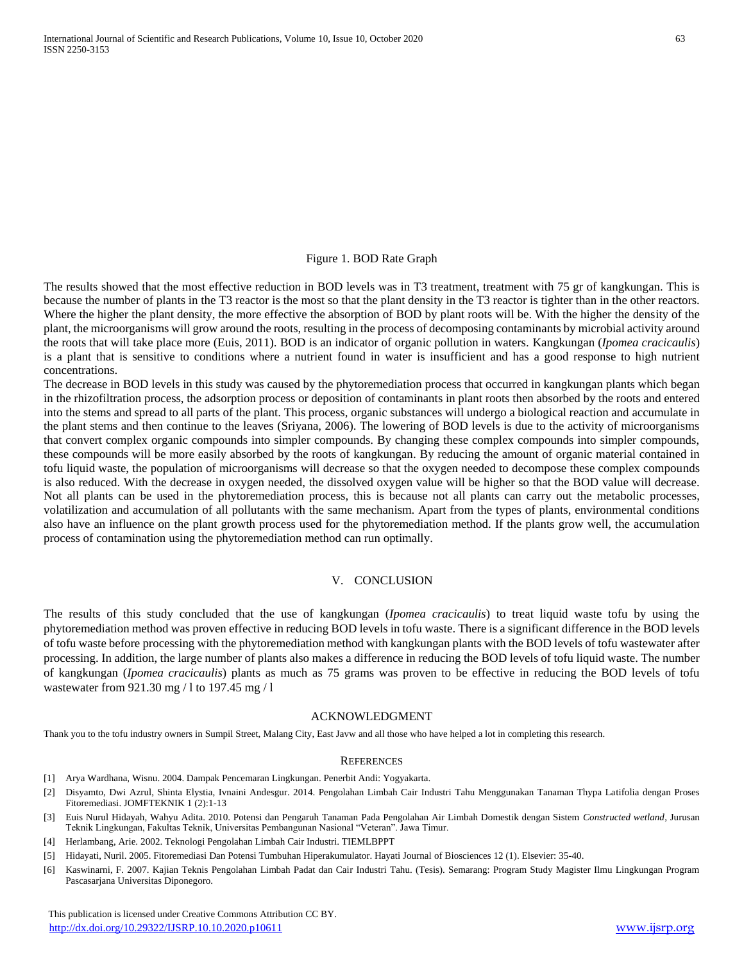#### Figure 1. BOD Rate Graph

The results showed that the most effective reduction in BOD levels was in T3 treatment, treatment with 75 gr of kangkungan. This is because the number of plants in the T3 reactor is the most so that the plant density in the T3 reactor is tighter than in the other reactors. Where the higher the plant density, the more effective the absorption of BOD by plant roots will be. With the higher the density of the plant, the microorganisms will grow around the roots, resulting in the process of decomposing contaminants by microbial activity around the roots that will take place more (Euis, 2011). BOD is an indicator of organic pollution in waters. Kangkungan (*Ipomea cracicaulis*) is a plant that is sensitive to conditions where a nutrient found in water is insufficient and has a good response to high nutrient concentrations.

The decrease in BOD levels in this study was caused by the phytoremediation process that occurred in kangkungan plants which began in the rhizofiltration process, the adsorption process or deposition of contaminants in plant roots then absorbed by the roots and entered into the stems and spread to all parts of the plant. This process, organic substances will undergo a biological reaction and accumulate in the plant stems and then continue to the leaves (Sriyana, 2006). The lowering of BOD levels is due to the activity of microorganisms that convert complex organic compounds into simpler compounds. By changing these complex compounds into simpler compounds, these compounds will be more easily absorbed by the roots of kangkungan. By reducing the amount of organic material contained in tofu liquid waste, the population of microorganisms will decrease so that the oxygen needed to decompose these complex compounds is also reduced. With the decrease in oxygen needed, the dissolved oxygen value will be higher so that the BOD value will decrease. Not all plants can be used in the phytoremediation process, this is because not all plants can carry out the metabolic processes, volatilization and accumulation of all pollutants with the same mechanism. Apart from the types of plants, environmental conditions also have an influence on the plant growth process used for the phytoremediation method. If the plants grow well, the accumulation process of contamination using the phytoremediation method can run optimally.

## V. CONCLUSION

The results of this study concluded that the use of kangkungan (*Ipomea cracicaulis*) to treat liquid waste tofu by using the phytoremediation method was proven effective in reducing BOD levels in tofu waste. There is a significant difference in the BOD levels of tofu waste before processing with the phytoremediation method with kangkungan plants with the BOD levels of tofu wastewater after processing. In addition, the large number of plants also makes a difference in reducing the BOD levels of tofu liquid waste. The number of kangkungan (*Ipomea cracicaulis*) plants as much as 75 grams was proven to be effective in reducing the BOD levels of tofu wastewater from 921.30 mg / l to 197.45 mg / l

#### ACKNOWLEDGMENT

Thank you to the tofu industry owners in Sumpil Street, Malang City, East Javw and all those who have helped a lot in completing this research.

#### **REFERENCES**

- [1] Arya Wardhana, Wisnu. 2004. Dampak Pencemaran Lingkungan. Penerbit Andi: Yogyakarta.
- [2] Disyamto, Dwi Azrul, Shinta Elystia, Ivnaini Andesgur. 2014. Pengolahan Limbah Cair Industri Tahu Menggunakan Tanaman Thypa Latifolia dengan Proses Fitoremediasi. JOMFTEKNIK 1 (2):1-13
- [3] Euis Nurul Hidayah, Wahyu Adita. 2010. Potensi dan Pengaruh Tanaman Pada Pengolahan Air Limbah Domestik dengan Sistem *Constructed wetland*, Jurusan Teknik Lingkungan, Fakultas Teknik, Universitas Pembangunan Nasional "Veteran". Jawa Timur.
- [4] Herlambang, Arie. 2002. Teknologi Pengolahan Limbah Cair Industri. TIEMLBPPT
- [5] Hidayati, Nuril. 2005. Fitoremediasi Dan Potensi Tumbuhan Hiperakumulator. Hayati Journal of Biosciences 12 (1). Elsevier: 35-40.
- [6] Kaswinarni, F. 2007. Kajian Teknis Pengolahan Limbah Padat dan Cair Industri Tahu. (Tesis). Semarang: Program Study Magister Ilmu Lingkungan Program Pascasarjana Universitas Diponegoro.

 This publication is licensed under Creative Commons Attribution CC BY. <http://dx.doi.org/10.29322/IJSRP.10.10.2020.p10611> [www.ijsrp.org](http://ijsrp.org/)